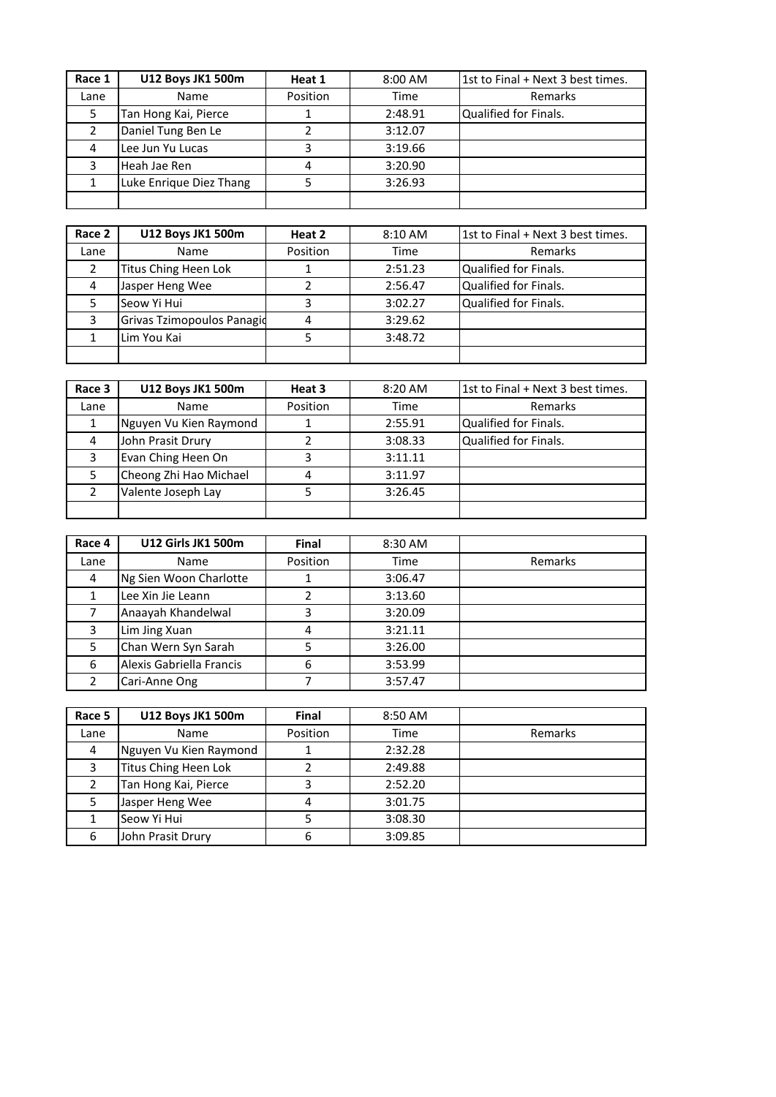| Race 1        | <b>U12 Boys JK1 500m</b> | Heat 1   | 8:00 AM | 1st to Final + Next 3 best times. |
|---------------|--------------------------|----------|---------|-----------------------------------|
| Lane          | Name                     | Position | Time    | Remarks                           |
| 5             | Tan Hong Kai, Pierce     |          | 2:48.91 | Qualified for Finals.             |
| $\mathcal{P}$ | Daniel Tung Ben Le       |          | 3:12.07 |                                   |
| 4             | Lee Jun Yu Lucas         |          | 3:19.66 |                                   |
| 3             | Heah Jae Ren             |          | 3:20.90 |                                   |
|               | Luke Enrique Diez Thang  |          | 3:26.93 |                                   |
|               |                          |          |         |                                   |

| Race 2 | <b>U12 Boys JK1 500m</b>   | Heat 2   | 8:10 AM | 1st to Final + Next 3 best times. |
|--------|----------------------------|----------|---------|-----------------------------------|
| Lane   | <b>Name</b>                | Position | Time    | Remarks                           |
| 2      | Titus Ching Heen Lok       |          | 2:51.23 | Qualified for Finals.             |
| 4      | Jasper Heng Wee            |          | 2:56.47 | Qualified for Finals.             |
| 5      | Seow Yi Hui                | э        | 3:02.27 | Qualified for Finals.             |
| 3      | Grivas Tzimopoulos Panagio |          | 3:29.62 |                                   |
|        | Lim You Kai                |          | 3:48.72 |                                   |
|        |                            |          |         |                                   |

| Race 3 | <b>U12 Boys JK1 500m</b> | Heat 3   | 8:20 AM | 1st to Final + Next 3 best times. |
|--------|--------------------------|----------|---------|-----------------------------------|
| Lane   | Name                     | Position | Time    | Remarks                           |
|        | Nguyen Vu Kien Raymond   |          | 2:55.91 | Qualified for Finals.             |
| 4      | John Prasit Drury        |          | 3:08.33 | Qualified for Finals.             |
| 3      | Evan Ching Heen On       |          | 3:11.11 |                                   |
| 5      | Cheong Zhi Hao Michael   |          | 3:11.97 |                                   |
|        | Valente Joseph Lay       |          | 3:26.45 |                                   |
|        |                          |          |         |                                   |

| Race 4 | <b>U12 Girls JK1 500m</b> | <b>Final</b> | 8:30 AM |         |
|--------|---------------------------|--------------|---------|---------|
| Lane   | Name                      | Position     | Time    | Remarks |
| 4      | Ng Sien Woon Charlotte    |              | 3:06.47 |         |
|        | Lee Xin Jie Leann         |              | 3:13.60 |         |
|        | Anaayah Khandelwal        |              | 3:20.09 |         |
| 3      | Lim Jing Xuan             |              | 3:21.11 |         |
| 5      | Chan Wern Syn Sarah       |              | 3:26.00 |         |
| 6      | Alexis Gabriella Francis  | 6            | 3:53.99 |         |
| າ      | Cari-Anne Ong             |              | 3:57.47 |         |

| Race 5 | <b>U12 Boys JK1 500m</b> | Final    | 8:50 AM |         |
|--------|--------------------------|----------|---------|---------|
| Lane   | Name                     | Position | Time    | Remarks |
| 4      | Nguyen Vu Kien Raymond   |          | 2:32.28 |         |
| 3      | Titus Ching Heen Lok     |          | 2:49.88 |         |
| 2      | Tan Hong Kai, Pierce     |          | 2:52.20 |         |
| 5      | Jasper Heng Wee          |          | 3:01.75 |         |
|        | Seow Yi Hui              |          | 3:08.30 |         |
| 6      | John Prasit Drury        | 6        | 3:09.85 |         |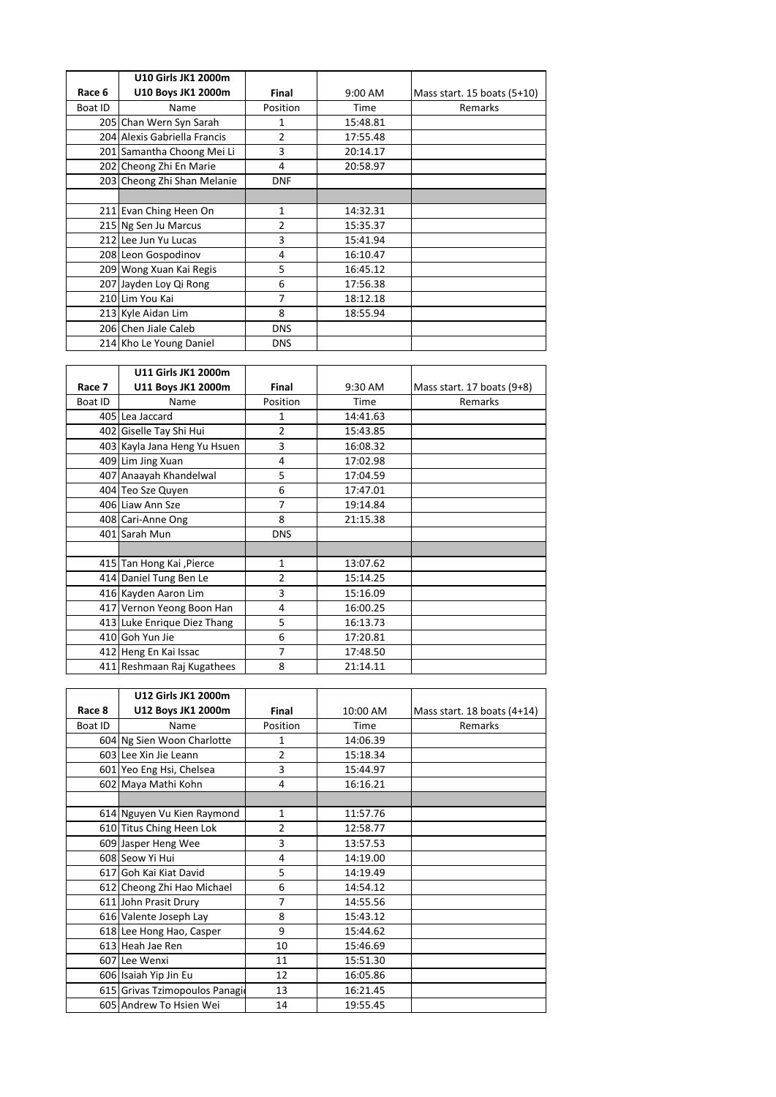|         | <b>U10 Girls JK1 2000m</b>   |                |          |                             |
|---------|------------------------------|----------------|----------|-----------------------------|
| Race 6  | U10 Boys JK1 2000m           | <b>Final</b>   | 9:00 AM  | Mass start. 15 boats (5+10) |
| Boat ID | <b>Name</b>                  | Position       | Time     | Remarks                     |
|         | 205 Chan Wern Syn Sarah      | 1              | 15:48.81 |                             |
|         | 204 Alexis Gabriella Francis | $\overline{2}$ | 17:55.48 |                             |
|         | 201 Samantha Choong Mei Li   | 3              | 20:14.17 |                             |
|         | 202 Cheong Zhi En Marie      | 4              | 20:58.97 |                             |
|         | 203 Cheong Zhi Shan Melanie  | <b>DNF</b>     |          |                             |
|         |                              |                |          |                             |
|         | 211 Evan Ching Heen On       | 1              | 14:32.31 |                             |
|         | 215 Ng Sen Ju Marcus         | $\overline{2}$ | 15:35.37 |                             |
|         | 212 Lee Jun Yu Lucas         | 3              | 15:41.94 |                             |
|         | 208 Leon Gospodinov          | 4              | 16:10.47 |                             |
|         | 209 Wong Xuan Kai Regis      | 5              | 16:45.12 |                             |
|         | 207 Jayden Loy Qi Rong       | 6              | 17:56.38 |                             |
|         | 210 Lim You Kai              | 7              | 18:12.18 |                             |
|         | 213 Kyle Aidan Lim           | 8              | 18:55.94 |                             |
|         | 206 Chen Jiale Caleb         | <b>DNS</b>     |          |                             |
|         | 214 Kho Le Young Daniel      | <b>DNS</b>     |          |                             |

|         | <b>U11 Girls JK1 2000m</b>   |              |          |                            |
|---------|------------------------------|--------------|----------|----------------------------|
| Race 7  | U11 Boys JK1 2000m           | Final        | 9:30 AM  | Mass start. 17 boats (9+8) |
| Boat ID | Name                         | Position     | Time     | Remarks                    |
|         | 405 Lea Jaccard              | 1            | 14:41.63 |                            |
|         | 402 Giselle Tay Shi Hui      | 2            | 15:43.85 |                            |
|         | 403 Kayla Jana Heng Yu Hsuen | 3            | 16:08.32 |                            |
|         | 409 Lim Jing Xuan            | 4            | 17:02.98 |                            |
|         | 407 Anaayah Khandelwal       | 5            | 17:04.59 |                            |
|         | 404 Teo Sze Quyen            | 6            | 17:47.01 |                            |
|         | 406 Liaw Ann Sze             | 7            | 19:14.84 |                            |
|         | 408 Cari-Anne Ong            | 8            | 21:15.38 |                            |
|         | 401 Sarah Mun                | <b>DNS</b>   |          |                            |
|         |                              |              |          |                            |
|         | 415 Tan Hong Kai , Pierce    | $\mathbf{1}$ | 13:07.62 |                            |
|         | 414 Daniel Tung Ben Le       | 2            | 15:14.25 |                            |
|         | 416 Kayden Aaron Lim         | 3            | 15:16.09 |                            |
|         | 417 Vernon Yeong Boon Han    | 4            | 16:00.25 |                            |
|         | 413 Luke Enrique Diez Thang  | 5            | 16:13.73 |                            |
|         | 410 Goh Yun Jie              | 6            | 17:20.81 |                            |
|         | 412 Heng En Kai Issac        | 7            | 17:48.50 |                            |
|         | 411 Reshmaan Raj Kugathees   | 8            | 21:14.11 |                            |

|         | U12 Girls JK1 2000m            |                |          |                                 |
|---------|--------------------------------|----------------|----------|---------------------------------|
| Race 8  | U12 Boys JK1 2000m             | <b>Final</b>   | 10:00 AM | Mass start. $18$ boats $(4+14)$ |
| Boat ID | Name                           | Position       | Time     | Remarks                         |
|         | 604 Ng Sien Woon Charlotte     | 1              | 14:06.39 |                                 |
|         | 603 Lee Xin Jie Leann          | $\overline{2}$ | 15:18.34 |                                 |
|         | 601 Yeo Eng Hsi, Chelsea       | 3              | 15:44.97 |                                 |
|         | 602 Maya Mathi Kohn            | 4              | 16:16.21 |                                 |
|         |                                |                |          |                                 |
|         | 614 Nguyen Vu Kien Raymond     | $\mathbf{1}$   | 11:57.76 |                                 |
|         | 610 Titus Ching Heen Lok       | $\overline{2}$ | 12:58.77 |                                 |
|         | 609 Jasper Heng Wee            | 3              | 13:57.53 |                                 |
|         | 608 Seow Yi Hui                | 4              | 14:19.00 |                                 |
|         | 617 Goh Kai Kiat David         | 5              | 14:19.49 |                                 |
|         | 612 Cheong Zhi Hao Michael     | 6              | 14:54.12 |                                 |
|         | 611 John Prasit Drury          | 7              | 14:55.56 |                                 |
|         | 616 Valente Joseph Lay         | 8              | 15:43.12 |                                 |
|         | 618 Lee Hong Hao, Casper       | 9              | 15:44.62 |                                 |
|         | 613 Heah Jae Ren               | 10             | 15:46.69 |                                 |
|         | 607 Lee Wenxi                  | 11             | 15:51.30 |                                 |
|         | 606 Isaiah Yip Jin Eu          | 12             | 16:05.86 |                                 |
|         | 615 Grivas Tzimopoulos Panagio | 13             | 16:21.45 |                                 |
|         | 605 Andrew To Hsien Wei        | 14             | 19:55.45 |                                 |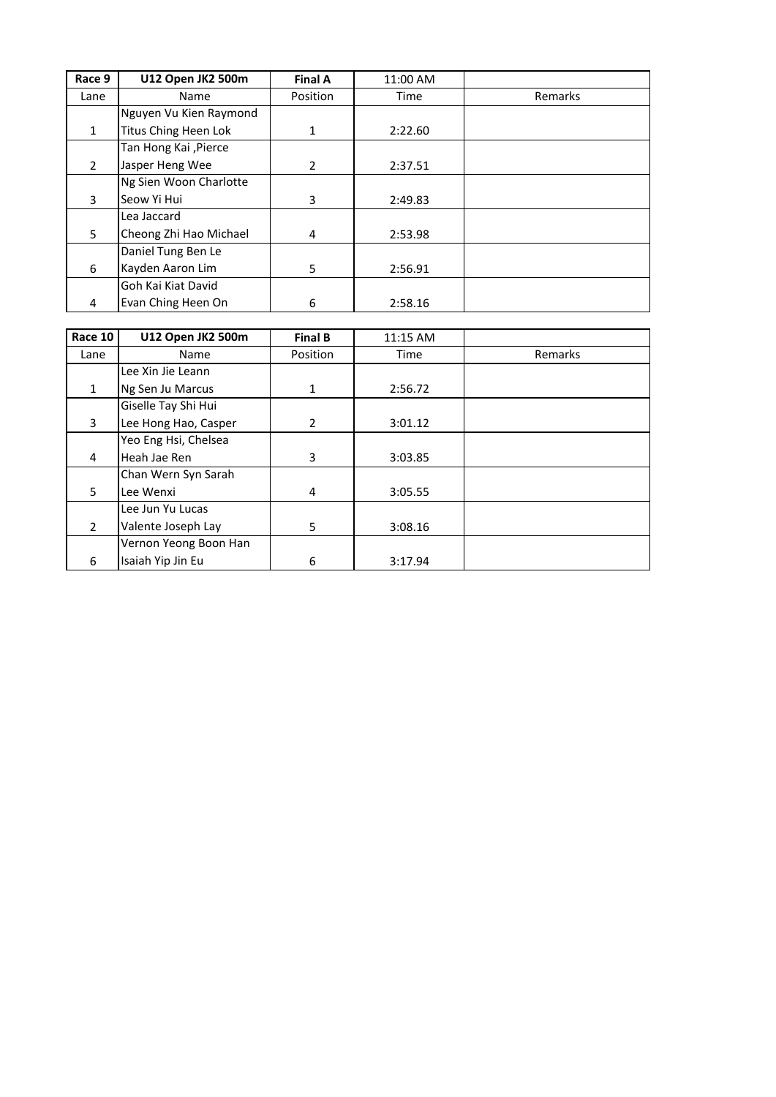| Race 9         | U12 Open JK2 500m      | <b>Final A</b> | 11:00 AM |         |
|----------------|------------------------|----------------|----------|---------|
| Lane           | Name                   | Position       | Time     | Remarks |
|                | Nguyen Vu Kien Raymond |                |          |         |
| $\mathbf{1}$   | Titus Ching Heen Lok   | 1              | 2:22.60  |         |
|                | Tan Hong Kai , Pierce  |                |          |         |
| $\overline{2}$ | Jasper Heng Wee        | $\mathcal{P}$  | 2:37.51  |         |
|                | Ng Sien Woon Charlotte |                |          |         |
| 3              | Seow Yi Hui            | 3              | 2:49.83  |         |
|                | Lea Jaccard            |                |          |         |
| 5              | Cheong Zhi Hao Michael | 4              | 2:53.98  |         |
|                | Daniel Tung Ben Le     |                |          |         |
| 6              | Kayden Aaron Lim       | 5              | 2:56.91  |         |
|                | Goh Kai Kiat David     |                |          |         |
| 4              | Evan Ching Heen On     | 6              | 2:58.16  |         |

| Race 10        | <b>U12 Open JK2 500m</b> | <b>Final B</b> | 11:15 AM |         |
|----------------|--------------------------|----------------|----------|---------|
| Lane           | Name                     | Position       | Time     | Remarks |
|                | Lee Xin Jie Leann        |                |          |         |
| $\mathbf{1}$   | Ng Sen Ju Marcus         | $\mathbf{1}$   | 2:56.72  |         |
|                | Giselle Tay Shi Hui      |                |          |         |
| 3              | Lee Hong Hao, Casper     | $\overline{2}$ | 3:01.12  |         |
|                | Yeo Eng Hsi, Chelsea     |                |          |         |
| 4              | Heah Jae Ren             | 3              | 3:03.85  |         |
|                | Chan Wern Syn Sarah      |                |          |         |
| 5              | Lee Wenxi                | 4              | 3:05.55  |         |
|                | Lee Jun Yu Lucas         |                |          |         |
| $\overline{2}$ | Valente Joseph Lay       | 5              | 3:08.16  |         |
|                | Vernon Yeong Boon Han    |                |          |         |
| 6              | Isaiah Yip Jin Eu        | 6              | 3:17.94  |         |